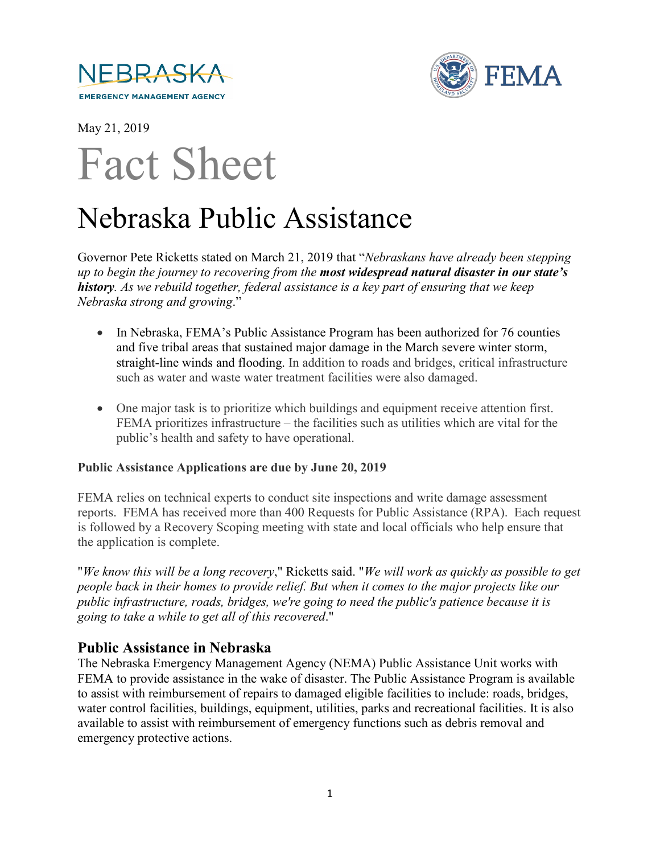



May 21, 2019

# Fact Sheet

# Nebraska Public Assistance

Governor Pete Ricketts stated on March 21, 2019 that "*Nebraskans have already been stepping up to begin the journey to recovering from the most widespread natural disaster in our state's history. As we rebuild together, federal assistance is a key part of ensuring that we keep Nebraska strong and growing*."

- In Nebraska, FEMA's Public Assistance Program has been authorized for 76 counties and five tribal areas that sustained major damage in the March severe winter storm, straight-line winds and flooding. In addition to roads and bridges, critical infrastructure such as water and waste water treatment facilities were also damaged.
- One major task is to prioritize which buildings and equipment receive attention first. FEMA prioritizes infrastructure – the facilities such as utilities which are vital for the public's health and safety to have operational.

#### **Public Assistance Applications are due by June 20, 2019**

FEMA relies on technical experts to conduct site inspections and write damage assessment reports. FEMA has received more than 400 Requests for Public Assistance (RPA). Each request is followed by a Recovery Scoping meeting with state and local officials who help ensure that the application is complete.

"*We know this will be a long recovery*," Ricketts said. "*We will work as quickly as possible to get people back in their homes to provide relief. But when it comes to the major projects like our public infrastructure, roads, bridges, we're going to need the public's patience because it is going to take a while to get all of this recovered*."

# **Public Assistance in Nebraska**

The Nebraska Emergency Management Agency (NEMA) Public Assistance Unit works with FEMA to provide assistance in the wake of disaster. The Public Assistance Program is available to assist with reimbursement of repairs to damaged eligible facilities to include: roads, bridges, water control facilities, buildings, equipment, utilities, parks and recreational facilities. It is also available to assist with reimbursement of emergency functions such as debris removal and emergency protective actions.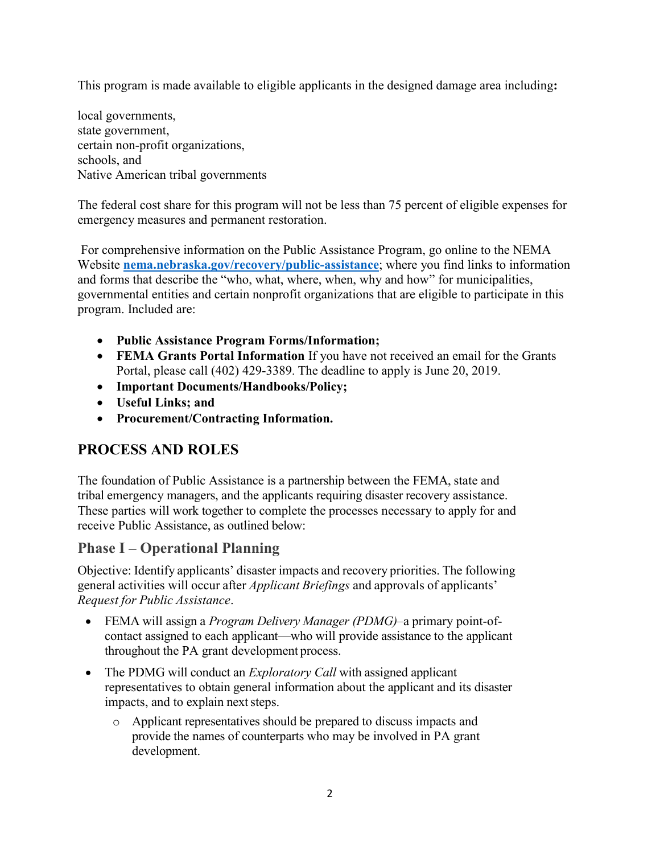This program is made available to eligible applicants in the designed damage area including**:** 

local governments, state government, certain non-profit organizations, schools, and Native American tribal governments

The federal cost share for this program will not be less than 75 percent of eligible expenses for emergency measures and permanent restoration.

For comprehensive information on the Public Assistance Program, go online to the NEMA Website **[nema.nebraska.gov/recovery/public-assistance](https://nema.nebraska.gov/recovery/public-assistance)**; where you find links to information and forms that describe the "who, what, where, when, why and how" for municipalities, governmental entities and certain nonprofit organizations that are eligible to participate in this program. Included are:

- **Public Assistance Program Forms/Information;**
- **FEMA Grants Portal Information** If you have not received an email for the Grants Portal, please call (402) 429-3389. The deadline to apply is June 20, 2019.
- **Important Documents/Handbooks/Policy;**
- **Useful Links; and**
- **Procurement/Contracting Information.**

# **PROCESS AND ROLES**

The foundation of Public Assistance is a partnership between the FEMA, state and tribal emergency managers, and the applicants requiring disaster recovery assistance. These parties will work together to complete the processes necessary to apply for and receive Public Assistance, as outlined below:

### **Phase I – Operational Planning**

Objective: Identify applicants' disaster impacts and recovery priorities. The following general activities will occur after *Applicant Briefings* and approvals of applicants' *Request for Public Assistance*.

- FEMA will assign a *Program Delivery Manager (PDMG)*–a primary point-ofcontact assigned to each applicant—who will provide assistance to the applicant throughout the PA grant development process.
- The PDMG will conduct an *Exploratory Call* with assigned applicant representatives to obtain general information about the applicant and its disaster impacts, and to explain next steps.
	- o Applicant representatives should be prepared to discuss impacts and provide the names of counterparts who may be involved in PA grant development.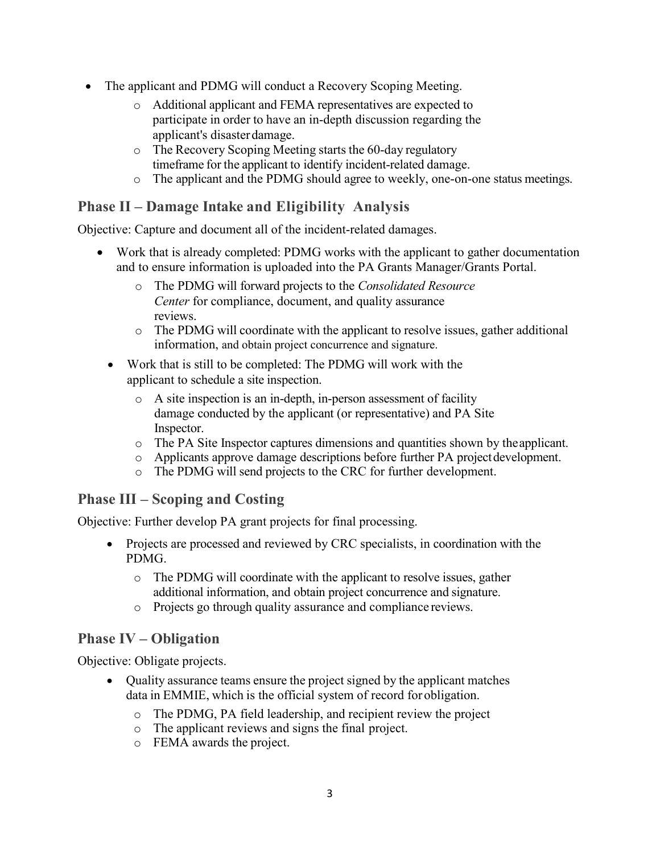- The applicant and PDMG will conduct a Recovery Scoping Meeting.
	- o Additional applicant and FEMA representatives are expected to participate in order to have an in-depth discussion regarding the applicant's disasterdamage.
	- o The Recovery Scoping Meeting starts the 60-day regulatory timeframe for the applicant to identify incident-related damage.
	- o The applicant and the PDMG should agree to weekly, one-on-one status meetings.

# **Phase II – Damage Intake and Eligibility Analysis**

Objective: Capture and document all of the incident-related damages.

- Work that is already completed: PDMG works with the applicant to gather documentation and to ensure information is uploaded into the PA Grants Manager/Grants Portal.
	- o The PDMG will forward projects to the *Consolidated Resource Center* for compliance, document, and quality assurance reviews.
	- o The PDMG will coordinate with the applicant to resolve issues, gather additional information, and obtain project concurrence and signature.
	- Work that is still to be completed: The PDMG will work with the applicant to schedule a site inspection.
		- o A site inspection is an in-depth, in-person assessment of facility damage conducted by the applicant (or representative) and PA Site Inspector.
		- o The PA Site Inspector captures dimensions and quantities shown by the applicant.
		- o Applicants approve damage descriptions before further PA projectdevelopment.
		- o The PDMG will send projects to the CRC for further development.

### **Phase III – Scoping and Costing**

Objective: Further develop PA grant projects for final processing.

- Projects are processed and reviewed by CRC specialists, in coordination with the PDMG.
	- o The PDMG will coordinate with the applicant to resolve issues, gather additional information, and obtain project concurrence and signature.
	- o Projects go through quality assurance and compliance reviews.

### **Phase IV – Obligation**

Objective: Obligate projects.

- Quality assurance teams ensure the project signed by the applicant matches data in EMMIE, which is the official system of record for obligation.
	- o The PDMG, PA field leadership, and recipient review the project
	- o The applicant reviews and signs the final project.
	- o FEMA awards the project.